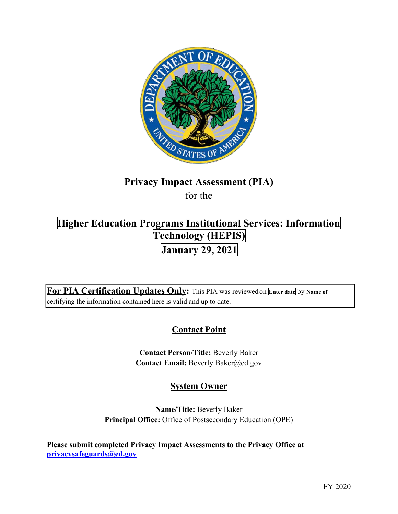

# **Privacy Impact Assessment (PIA)**  for the

**Technology (HEPIS) January 29, 2021 Higher Education Programs Institutional Services: Information** 

**For PIA Certification Updates Only:** This PIA was reviewedon **Enter date** by **Name of**  certifying the information contained here is valid and up to date.

# **Contact Point**

**Contact Person/Title:** Beverly Baker **Contact Email:** [Beverly.Baker@ed.gov](mailto:Beverly.Baker@ed.gov) 

# **System Owner**

**Name/Title:** Beverly Baker **Principal Office:** Office of Postsecondary Education (OPE)

**Please submit completed Privacy Impact Assessments to the Privacy Office at [privacysafeguards@ed.gov](mailto:privacysafeguards@ed.gov)**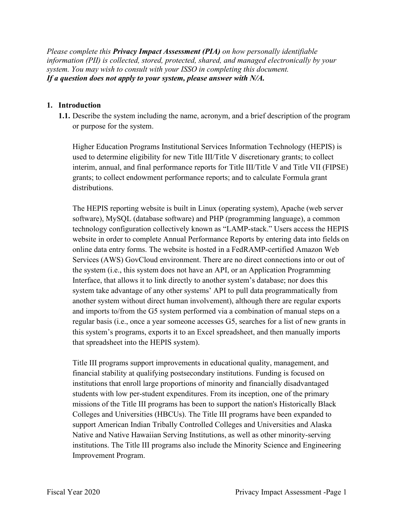*Please complete this Privacy Impact Assessment (PIA) on how personally identifiable information (PII) is collected, stored, protected, shared, and managed electronically by your system. You may wish to consult with your ISSO in completing this document. If a question does not apply to your system, please answer with N/A.* 

### **1. Introduction**

 or purpose for the system. **1.1.** Describe the system including the name, acronym, and a brief description of the program

 used to determine eligibility for new Title III/Title V discretionary grants; to collect interim, annual, and final performance reports for Title III/Title V and Title VII (FIPSE) Higher Education Programs Institutional Services Information Technology (HEPIS) is grants; to collect endowment performance reports; and to calculate Formula grant distributions.

 The HEPIS reporting website is built in Linux (operating system), Apache (web server website in order to complete Annual Performance Reports by entering data into fields on Services (AWS) GovCloud environment. There are no direct connections into or out of another system without direct human involvement), although there are regular exports software), MySQL (database software) and PHP (programming language), a common technology configuration collectively known as "LAMP-stack." Users access the HEPIS online data entry forms. The website is hosted in a FedRAMP-certified Amazon Web the system (i.e., this system does not have an API, or an Application Programming Interface, that allows it to link directly to another system's database; nor does this system take advantage of any other systems' API to pull data programmatically from and imports to/from the G5 system performed via a combination of manual steps on a regular basis (i.e., once a year someone accesses G5, searches for a list of new grants in this system's programs, exports it to an Excel spreadsheet, and then manually imports that spreadsheet into the HEPIS system).

 Colleges and Universities (HBCUs). The Title III programs have been expanded to Title III programs support improvements in educational quality, management, and financial stability at qualifying postsecondary institutions. Funding is focused on institutions that enroll large proportions of minority and financially disadvantaged students with low per-student expenditures. From its inception, one of the primary missions of the Title III programs has been to support the nation's Historically Black support American Indian Tribally Controlled Colleges and Universities and Alaska Native and Native Hawaiian Serving Institutions, as well as other minority-serving institutions. The Title III programs also include the Minority Science and Engineering Improvement Program.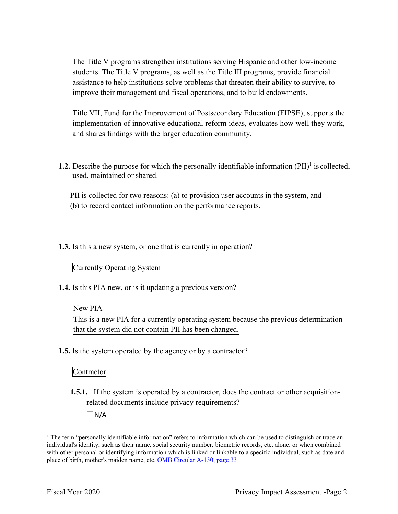The Title V programs strengthen institutions serving Hispanic and other low-income students. The Title V programs, as well as the Title III programs, provide financial assistance to help institutions solve problems that threaten their ability to survive, to improve their management and fiscal operations, and to build endowments.

Title VII, Fund for the Improvement of Postsecondary Education (FIPSE), supports the implementation of innovative educational reform ideas, evaluates how well they work, and shares findings with the larger education community.

**1.2.** Describe the purpose for which the personally identifiable information  $(PII)^{1}$  is collected, used, maintained or shared.

PII is collected for two reasons: (a) to provision user accounts in the system, and (b) to record contact information on the performance reports.

**1.3.** Is this a new system, or one that is currently in operation?

Currently Operating System

**1.4.** Is this PIA new, or is it updating a previous version?

# New PIA

This is a new PIA for a currently operating system because the previous determination that the system did not contain PII has been changed.

**1.5.** Is the system operated by the agency or by a contractor?

# **Contractor**

**1.5.1.** If the system is operated by a contractor, does the contract or other acquisitionrelated documents include privacy requirements?

 $\Box$  N/A

<sup>&</sup>lt;sup>1</sup> The term "personally identifiable information" refers to information which can be used to distinguish or trace an individual's identity, such as their name, social security number, biometric records, etc. alone, or when combined with other personal or identifying information which is linked or linkable to a specific individual, such as date and place of birth, mother's maiden name, etc. OMB Circular A-130, page 33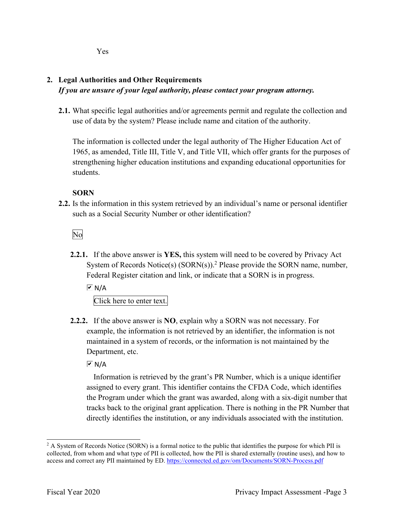Yes

# **2. Legal Authorities and Other Requirements**  *If you are unsure of your legal authority, please contact your program attorney.*

 use of data by the system? Please include name and citation of the authority. **2.1.** What specific legal authorities and/or agreements permit and regulate the collection and

The information is collected under the legal authority of The Higher Education Act of 1965, as amended, Title III, Title V, and Title VII, which offer grants for the purposes of strengthening higher education institutions and expanding educational opportunities for students.

# **SORN**

**2.2.** Is the information in this system retrieved by an individual's name or personal identifier such as a Social Security Number or other identification?

No

System of Records Notice(s) (SORN(s)).<sup>2</sup> Please provide the SORN name, number, Federal Register citation and link, or indicate that a SORN is in progress. **2.2.1.** If the above answer is **YES,** this system will need to be covered by Privacy Act

 $\overline{M}$  N/A

Click here to enter text.

**2.2.2.** If the above answer is **NO**, explain why a SORN was not necessary. For example, the information is not retrieved by an identifier, the information is not maintained in a system of records, or the information is not maintained by the Department, etc.

 $\overline{\triangleright}$  N/A

Information is retrieved by the grant's PR Number, which is a unique identifier assigned to every grant. This identifier contains the CFDA Code, which identifies the Program under which the grant was awarded, along with a six-digit number that tracks back to the original grant application. There is nothing in the PR Number that directly identifies the institution, or any individuals associated with the institution.

<sup>&</sup>lt;sup>2</sup> A System of Records Notice (SORN) is a formal notice to the public that identifies the purpose for which PII is collected, from whom and what type of PII is collected, how the PII is shared externally (routine uses), and how to access and correct any PII maintained by ED. https://connected.ed.gov/om/Documents/SORN-Process.pdf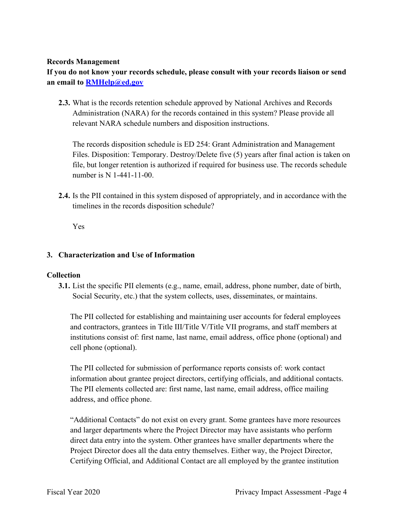#### **Records Management**

**If you do not know your records schedule, please consult with your records liaison or send an email to [RMHelp@ed.gov](mailto:RMHelp@ed.gov)** 

 **2.3.** What is the records retention schedule approved by National Archives and Records relevant NARA schedule numbers and disposition instructions. Administration (NARA) for the records contained in this system? Please provide all

The records disposition schedule is ED 254: Grant Administration and Management Files. Disposition: Temporary. Destroy/Delete five (5) years after final action is taken on file, but longer retention is authorized if required for business use. The records schedule number is N 1-441-11-00.

 timelines in the records disposition schedule? **2.4.** Is the PII contained in this system disposed of appropriately, and in accordance with the

Yes

# **3. Characterization and Use of Information**

# **Collection**

 Social Security, etc.) that the system collects, uses, disseminates, or maintains. **3.1.** List the specific PII elements (e.g., name, email, address, phone number, date of birth,

 The PII collected for establishing and maintaining user accounts for federal employees and contractors, grantees in Title III/Title V/Title VII programs, and staff members at institutions consist of: first name, last name, email address, office phone (optional) and cell phone (optional).

The PII collected for submission of performance reports consists of: work contact information about grantee project directors, certifying officials, and additional contacts. The PII elements collected are: first name, last name, email address, office mailing address, and office phone.

"Additional Contacts" do not exist on every grant. Some grantees have more resources and larger departments where the Project Director may have assistants who perform direct data entry into the system. Other grantees have smaller departments where the Project Director does all the data entry themselves. Either way, the Project Director, Certifying Official, and Additional Contact are all employed by the grantee institution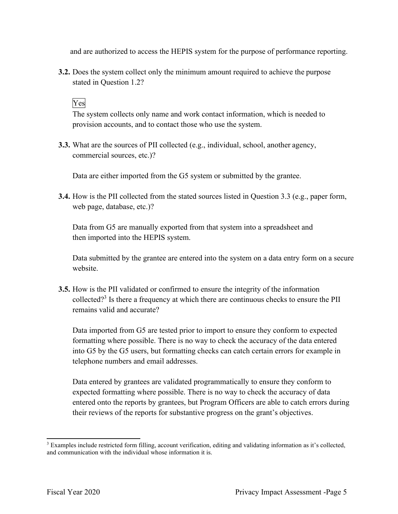and are authorized to access the HEPIS system for the purpose of performance reporting.

 **3.2.** Does the system collect only the minimum amount required to achieve the purpose stated in Question 1.2?

# Yes

The system collects only name and work contact information, which is needed to provision accounts, and to contact those who use the system.

 **3.3.** What are the sources of PII collected (e.g., individual, school, another agency, commercial sources, etc.)?

Data are either imported from the G5 system or submitted by the grantee.

**3.4.** How is the PII collected from the stated sources listed in Question 3.3 (e.g., paper form, web page, database, etc.)?

Data from G5 are manually exported from that system into a spreadsheet and then imported into the HEPIS system.

 Data submitted by the grantee are entered into the system on a data entry form on a secure website.

collected?<sup>3</sup> Is there a frequency at which there are continuous checks to ensure the PII remains valid and accurate? **3.5.** How is the PII validated or confirmed to ensure the integrity of the information

 Data imported from G5 are tested prior to import to ensure they conform to expected into G5 by the G5 users, but formatting checks can catch certain errors for example in formatting where possible. There is no way to check the accuracy of the data entered telephone numbers and email addresses.

 Data entered by grantees are validated programmatically to ensure they conform to their reviews of the reports for substantive progress on the grant's objectives. expected formatting where possible. There is no way to check the accuracy of data entered onto the reports by grantees, but Program Officers are able to catch errors during

<sup>&</sup>lt;sup>3</sup> Examples include restricted form filling, account verification, editing and validating information as it's collected, and communication with the individual whose information it is.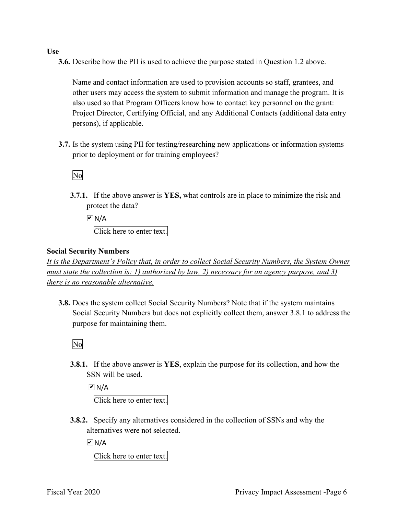#### **Use**

**3.6.** Describe how the PII is used to achieve the purpose stated in Question 1.2 above.

Name and contact information are used to provision accounts so staff, grantees, and other users may access the system to submit information and manage the program. It is also used so that Program Officers know how to contact key personnel on the grant: Project Director, Certifying Official, and any Additional Contacts (additional data entry persons), if applicable.

 prior to deployment or for training employees? **3.7.** Is the system using PII for testing/researching new applications or information systems

No

 protect the data? **3.7.1.** If the above answer is **YES,** what controls are in place to minimize the risk and

 $\overline{M}$  N/A Click here to enter text.

#### **Social Security Numbers**

*It is the Department's Policy that, in order to collect Social Security Numbers, the System Owner must state the collection is: 1) authorized by law, 2) necessary for an agency purpose, and 3) there is no reasonable alternative.* 

 purpose for maintaining them. **3.8.** Does the system collect Social Security Numbers? Note that if the system maintains Social Security Numbers but does not explicitly collect them, answer 3.8.1 to address the

No

 SSN will be used. **3.8.1.** If the above answer is **YES**, explain the purpose for its collection, and how the

 $\overline{M}$  N/A Click here to enter text.

 alternatives were not selected. **3.8.2.** Specify any alternatives considered in the collection of SSNs and why the

 $\overline{M}$  N/A

Click here to enter text.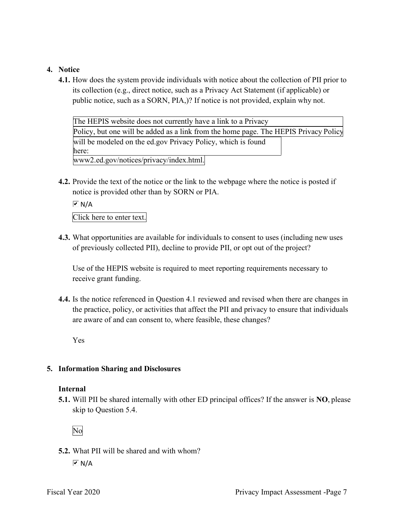## **4. Notice**

 public notice, such as a SORN, PIA,)? If notice is not provided, explain why not. **4.1.** How does the system provide individuals with notice about the collection of PII prior to its collection (e.g., direct notice, such as a Privacy Act Statement (if applicable) or

| The HEPIS website does not currently have a link to a Privacy                        |  |
|--------------------------------------------------------------------------------------|--|
| Policy, but one will be added as a link from the home page. The HEPIS Privacy Policy |  |
| will be modeled on the ed.gov Privacy Policy, which is found                         |  |
| here:                                                                                |  |
| www2.ed.gov/notices/privacy/index.html.                                              |  |

 notice is provided other than by SORN or PIA. **4.2.** Provide the text of the notice or the link to the webpage where the notice is posted if

 $\overline{M}$  N/A

Click here to enter text.

 of previously collected PII), decline to provide PII, or opt out of the project? **4.3.** What opportunities are available for individuals to consent to uses (including new uses

Use of the HEPIS website is required to meet reporting requirements necessary to receive grant funding.

 **4.4.** Is the notice referenced in Question 4.1 reviewed and revised when there are changes in are aware of and can consent to, where feasible, these changes? the practice, policy, or activities that affect the PII and privacy to ensure that individuals

Yes

#### **5. Information Sharing and Disclosures**

#### **Internal**

 skip to Question 5.4. **5.1.** Will PII be shared internally with other ED principal offices? If the answer is **NO**, please

No

 **5.2.** What PII will be shared and with whom?  $\overline{M}$  N/A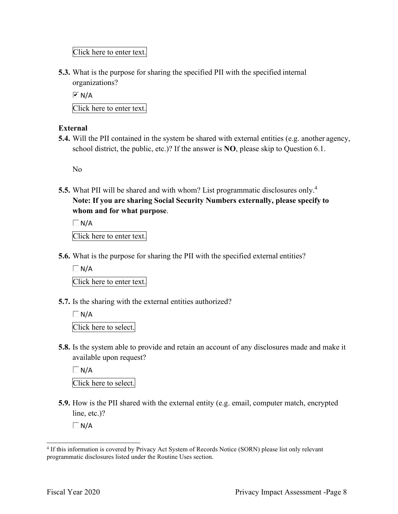Click here to enter text.

**5.3.** What is the purpose for sharing the specified PII with the specified internal organizations?

 $\overline{M}$  N/A

Click here to enter text.

# **External**

 school district, the public, etc.)? If the answer is **NO**, please skip to Question 6.1. **5.4.** Will the PII contained in the system be shared with external entities (e.g. another agency,

No

 **Note: If you are sharing Social Security Numbers externally, please specify to 5.5.** What PII will be shared and with whom? List programmatic disclosures only.<sup>4</sup> **whom and for what purpose**.

 $\Box$  N/A Click here to enter text.

**5.6.** What is the purpose for sharing the PII with the specified external entities?

 $\Box$  N/A

Click here to enter text.

**5.7.** Is the sharing with the external entities authorized?

 $\Box N/A$ Click here to select.

 available upon request? **5.8.** Is the system able to provide and retain an account of any disclosures made and make it

 $\Box$ N/A

Click here to select.

**5.9.** How is the PII shared with the external entity (e.g. email, computer match, encrypted line, etc.)?

 $\Box N/A$ 

<sup>&</sup>lt;sup>4</sup> If this information is covered by Privacy Act System of Records Notice (SORN) please list only relevant programmatic disclosures listed under the Routine Uses section.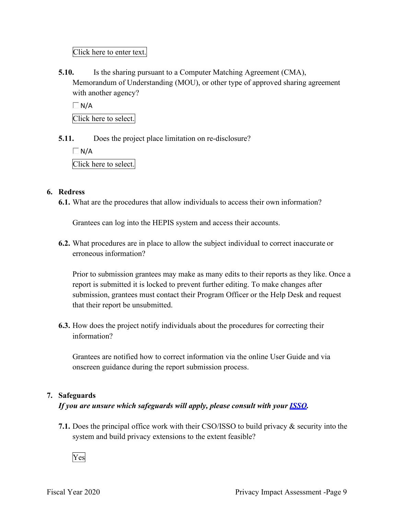Click here to enter text.

 with another agency? **5.10.** Is the sharing pursuant to a Computer Matching Agreement (CMA), Memorandum of Understanding (MOU), or other type of approved sharing agreement

 $\Box$  N/A Click here to select.

**5.11.** Does the project place limitation on re-disclosure?

 $\Box N/A$ Click here to select.

### **6. Redress**

**6.1.** What are the procedures that allow individuals to access their own information?

Grantees can log into the HEPIS system and access their accounts.

**6.2.** What procedures are in place to allow the subject individual to correct inaccurate or erroneous information?

Prior to submission grantees may make as many edits to their reports as they like. Once a report is submitted it is locked to prevent further editing. To make changes after submission, grantees must contact their Program Officer or the Help Desk and request that their report be unsubmitted.

**6.3.** How does the project notify individuals about the procedures for correcting their information?

Grantees are notified how to correct information via the online User Guide and via onscreen guidance during the report submission process.

# **7. Safeguards**

# *If you are unsure which safeguards will apply, please consult with your ISSO.*

 system and build privacy extensions to the extent feasible? **7.1.** Does the principal office work with their CSO/ISSO to build privacy & security into the

Yes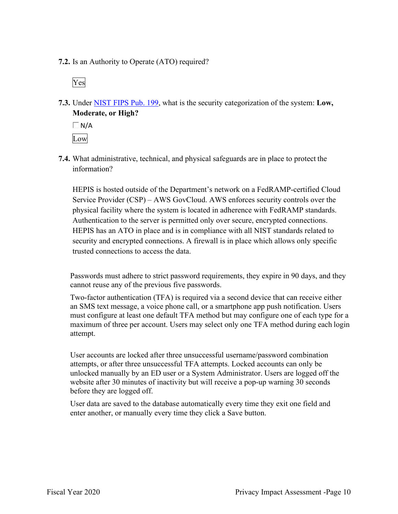**7.2.** Is an Authority to Operate (ATO) required?

Yes

 **7.3.** Under NIST FIPS Pub. 199, what is the security categorization of the system: **Low, Moderate, or High?** 

 $\Box$  N/A Low

**7.4.** What administrative, technical, and physical safeguards are in place to protect the information?

HEPIS is hosted outside of the Department's network on a FedRAMP-certified Cloud Service Provider (CSP) – AWS GovCloud. AWS enforces security controls over the physical facility where the system is located in adherence with FedRAMP standards. Authentication to the server is permitted only over secure, encrypted connections. HEPIS has an ATO in place and is in compliance with all NIST standards related to security and encrypted connections. A firewall is in place which allows only specific trusted connections to access the data.

Passwords must adhere to strict password requirements, they expire in 90 days, and they cannot reuse any of the previous five passwords.

 must configure at least one default TFA method but may configure one of each type for a Two-factor authentication (TFA) is required via a second device that can receive either an SMS text message, a voice phone call, or a smartphone app push notification. Users maximum of three per account. Users may select only one TFA method during each login attempt.

User accounts are locked after three unsuccessful username/password combination attempts, or after three unsuccessful TFA attempts. Locked accounts can only be unlocked manually by an ED user or a System Administrator. Users are logged off the website after 30 minutes of inactivity but will receive a pop-up warning 30 seconds before they are logged off.

User data are saved to the database automatically every time they exit one field and enter another, or manually every time they click a Save button.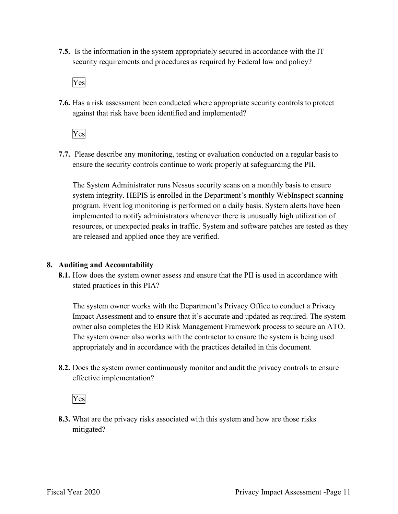security requirements and procedures as required by Federal law and policy? **7.5.** Is the information in the system appropriately secured in accordance with the IT

Yes

**7.6.** Has a risk assessment been conducted where appropriate security controls to protect against that risk have been identified and implemented?

Yes

 ensure the security controls continue to work properly at safeguarding the PII. **7.7.** Please describe any monitoring, testing or evaluation conducted on a regular basis to

The System Administrator runs Nessus security scans on a monthly basis to ensure system integrity. HEPIS is enrolled in the Department's monthly WebInspect scanning program. Event log monitoring is performed on a daily basis. System alerts have been implemented to notify administrators whenever there is unusually high utilization of resources, or unexpected peaks in traffic. System and software patches are tested as they are released and applied once they are verified.

# **8. Auditing and Accountability**

 stated practices in this PIA? **8.1.** How does the system owner assess and ensure that the PII is used in accordance with

The system owner works with the Department's Privacy Office to conduct a Privacy Impact Assessment and to ensure that it's accurate and updated as required. The system owner also completes the ED Risk Management Framework process to secure an ATO. The system owner also works with the contractor to ensure the system is being used appropriately and in accordance with the practices detailed in this document.

**8.2.** Does the system owner continuously monitor and audit the privacy controls to ensure effective implementation?

Yes

**8.3.** What are the privacy risks associated with this system and how are those risks mitigated?